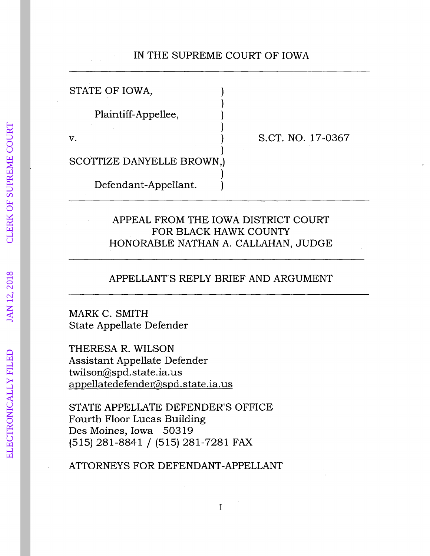# IN THE SUPREME COURT OF IOWA

)

)

)

)

STATE OF IOWA,

Plaintiff-Appellee, )

 $\mathbf v.$  )

S.CT. NO. 17-0367

SCOTTIZE DANYELLE BROWN,)

Defendant-Appellant. )

### APPEAL FROM THE IOWA DISTRICT COURT FOR BLACK HAWK COUNTY HONORABLE NATHAN A. CALLAHAN, JUDGE

### APPELLANT'S REPLY BRIEF AND ARGUMENT

MARK C. SMITH State Appellate Defender

THERESA R. WILSON Assistant Appellate Defender twilson@spd. state .ia. us appellatedefendet@spd.state.ia.us

STATE APPELLATE DEFENDER'S OFFICE Fourth Floor Lucas Building Des Moines, Iowa 50319 (515) 281-8841 / (515) 281-7281 FAX

ATTORNEYS FOR DEFENDANT-APPELLANT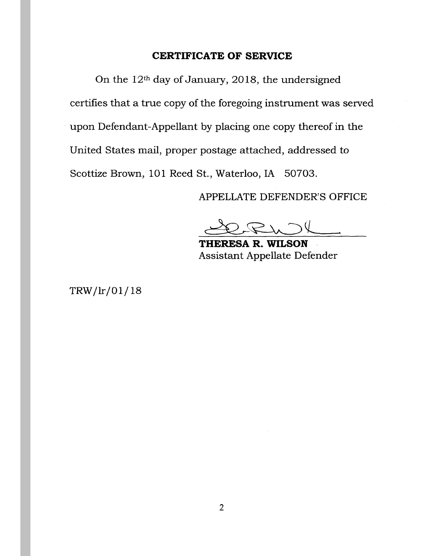### **CERTIFICATE OF SERVICE**

On the 12th day of January, 2018, the undersigned certifies that a true copy of the foregoing instrument was served upon Defendant-Appellant by placing one copy thereof in the United States mail, proper postage attached, addressed to Scottize Brown, 101 Reed St., Waterloo, IA 50703.

APPELLATE DEFENDER'S OFFICE

**THERESA R. WILSON**  Assistant Appellate Defender

TRW /lr/01/ 18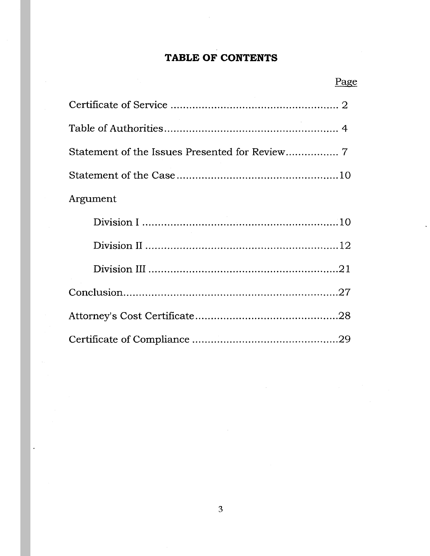# TABLE OF CONTENTS

| Argument |
|----------|
|          |
|          |
|          |
|          |
|          |
|          |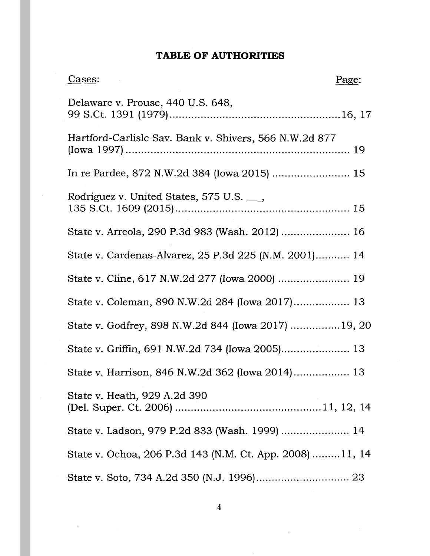# **TABLE OF AUTHORITIES**

| Cases:                                                   | Page: |
|----------------------------------------------------------|-------|
| Delaware v. Prouse, 440 U.S. 648,                        |       |
| Hartford-Carlisle Sav. Bank v. Shivers, 566 N.W.2d 877   |       |
| In re Pardee, 872 N.W.2d 384 (Iowa 2015)  15             |       |
| Rodriguez v. United States, 575 U.S. <sub>___</sub> ,    |       |
| State v. Arreola, 290 P.3d 983 (Wash. 2012)  16          |       |
| State v. Cardenas-Alvarez, 25 P.3d 225 (N.M. 2001) 14    |       |
|                                                          |       |
| State v. Coleman, 890 N.W.2d 284 (Iowa 2017) 13          |       |
| State v. Godfrey, 898 N.W.2d 844 (Iowa 2017)  19, 20     |       |
| State v. Griffin, 691 N.W.2d 734 (Iowa 2005) 13          |       |
| State v. Harrison, 846 N.W.2d 362 (Iowa 2014) 13         |       |
| State v. Heath, 929 A.2d 390                             |       |
| State v. Ladson, 979 P.2d 833 (Wash. 1999)  14           |       |
| State v. Ochoa, 206 P.3d 143 (N.M. Ct. App. 2008) 11, 14 |       |
|                                                          |       |

 $\ddot{\phantom{a}}$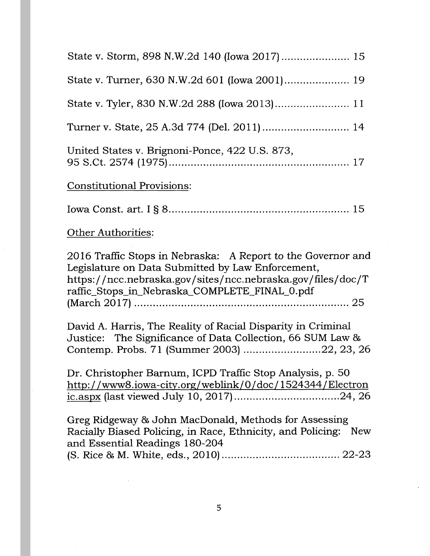| State v. Tyler, 830 N.W.2d 288 (Iowa 2013) 11                                                                                                                                                                                     |
|-----------------------------------------------------------------------------------------------------------------------------------------------------------------------------------------------------------------------------------|
|                                                                                                                                                                                                                                   |
| United States v. Brignoni-Ponce, 422 U.S. 873,                                                                                                                                                                                    |
| Constitutional Provisions:                                                                                                                                                                                                        |
|                                                                                                                                                                                                                                   |
| Other Authorities:                                                                                                                                                                                                                |
| 2016 Traffic Stops in Nebraska: A Report to the Governor and<br>Legislature on Data Submitted by Law Enforcement,<br>https://ncc.nebraska.gov/sites/ncc.nebraska.gov/files/doc/T<br>raffic_Stops_in_Nebraska_COMPLETE_FINAL_0.pdf |
| David A. Harris, The Reality of Racial Disparity in Criminal<br>Justice: The Significance of Data Collection, 66 SUM Law &<br>Contemp. Probs. 71 (Summer 2003) 22, 23, 26                                                         |
| Dr. Christopher Barnum, ICPD Traffic Stop Analysis, p. 50<br>http://www8.iowa-city.org/weblink/0/doc/1524344/Electron                                                                                                             |
| Greg Ridgeway & John MacDonald, Methods for Assessing<br>Racially Biased Policing, in Race, Ethnicity, and Policing: New<br>and Essential Readings 180-204                                                                        |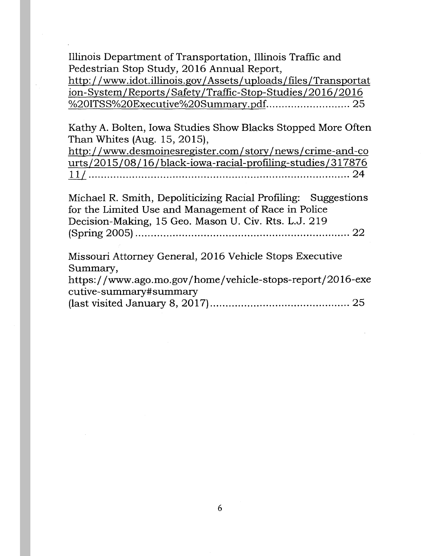Illinois Department of Transportation, Illinois Traffic and Pedestrian Stop Study, 2016 Annual Report, http: //www.idot.illinois.gov /Assets/uploads/files/Transportat ion-System/Reports/Safety/Traffic-Stop-Studies/2016/2016 <u>%20ITSS%20Executive%20Summary.pdf</u>............................ 25

Kathy A. Bolten, Iowa Studies Show Blacks Stopped More Often Than Whites (Aug. 15, 2015),

http://www.desmoinesregister.com/story/news/crime-and-co urts/20 15/08/16/black-iowa-racial-profiling-studies/317876 l\_U .................................................................................... 24

Michael R. Smith, Depoliticizing Racial Profiling: Suggestions for the Limited Use and Management of Race in Police Decision-Making, 15 Geo. Mason U. Civ. Rts. L.J. 219 (Spring 2005) ..................................................................... 22

Missouri Attorney General, 2016 Vehicle Stops Executive Summary,

https://www.ago.mo.gov/home/vehicle-stops-report/2016-exe cu tive-summary#summary

(last visited January 8, 2017) ............................................. 25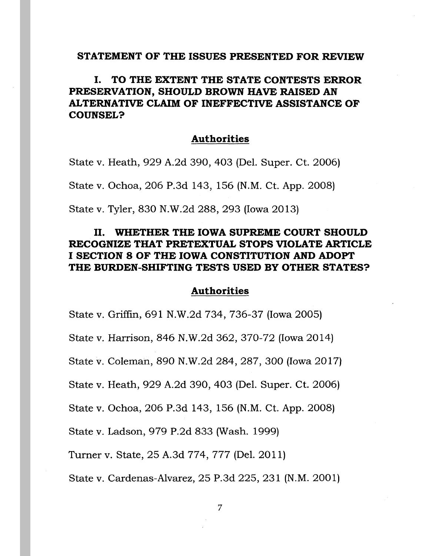#### **STATEMENT OF THE ISSUES PRESENTED FOR REVIEW**

# I. **TO THE EXTENT THE STATE CONTESTS ERROR PRESERVATION, SHOULD BROWN HAVE RAISED AN ALTERNATIVE CLAIM OF INEFFECTIVE ASSISTANCE OF COUNSEL?**

#### **Authorities**

State v. Heath, 929 A.2d 390, 403 (Del. Super. Ct. 2006) State v. Ochoa, 206 P.3d 143, 156 (N.M. Ct. App. 2008) State v. Tyler, 830 N.W.2d 288, 293 (Iowa 2013)

## II. **WHETHER THE IOWA SUPREME COURT SHOULD RECOGNIZE THAT PRETEXTUAL STOPS VIOLATE ARTICLE I SECTION 8 OF THE IOWA CONSTITUTION AND ADOPT THE BURDEN-SHIFTING TESTS USED BY OTHER STATES?**

#### **Authorities**

State v. Griffin, 691 N.W.2d 734, 736-37 (Iowa 2005)

State v. Harrison, 846 N.W.2d 362, 370-72 (Iowa 2014)

State v. Coleman, 890 N.W.2d 284, 287, 300 (Iowa 2017)

State v. Heath, 929 A.2d 390, 403 (Del. Super. Ct. 2006)

State v. Ochoa, 206 P.3d 143, 156 (N.M. Ct. App. 2008)

State v. Ladson, 979 P.2d 833 (Wash. 1999)

Turner v. State, 25 A.3d 774, 777 (Del. 2011)

State v. Cardenas-Alvarez, 25 P.3d 225, 231 (N.M. 2001)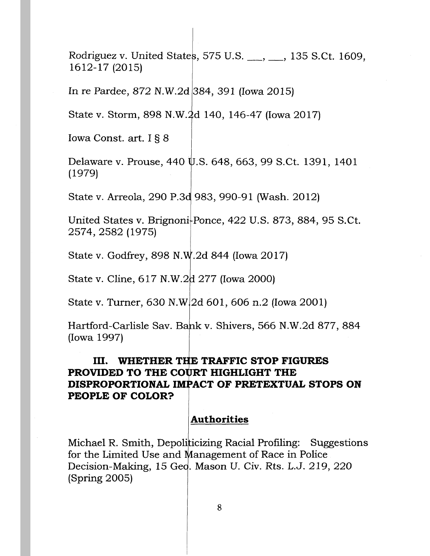Rodriguez v. United States, 575 U.S. \_\_\_, \_\_\_, 135 S.Ct. 1609, 1612-17 (2015)

In re Pardee, 872 N.W.2d 384, 391 (Iowa 2015)

State v. Storm, 898 N.W. 2d 140, 146-47 (Iowa 2017)

Iowa Const. art. I § 8

Delaware v. Prouse, 440 U.S. 648, 663, 99 S.Ct. 1391, 1401 (1979)

State v. Arreola, 290 P.3d 983, 990-91 (Wash. 2012)

United States v. Brignoni<sup>.</sup>Ponce, 422 U.S. 873, 884, 95 S.Ct. 2574,2582 (1975) I

State v. Godfrey, 898 N.W.2d 844 (Iowa 2017)

I

State v. Cline, 617 N.W.2d 277 (Iowa 2000)

State v. Turner, 630 N.W 2d 601, 606 n.2 (Iowa 2001)

Hartford-Carlisle Sav. Bank v. Shivers, 566 N.W.2d 877, 884 (Iowa 1997)

# **III. WHETHER THE TRAFFIC STOP FIGURES PROVIDED TO THE COURT HIGHLIGHT THE DISPROPORTIONAL IMPACT OF PRETEXTUAL STOPS ON PEOPLE OF COLOR?**

## **Authorities**

Michael R. Smith, Depoliticizing Racial Profiling: Suggestions for the Limited Use and Management of Race in Police Decision-Making, 15 Ged. Mason U. Civ. Rts. L.J. 219, 220 (Spring 2005)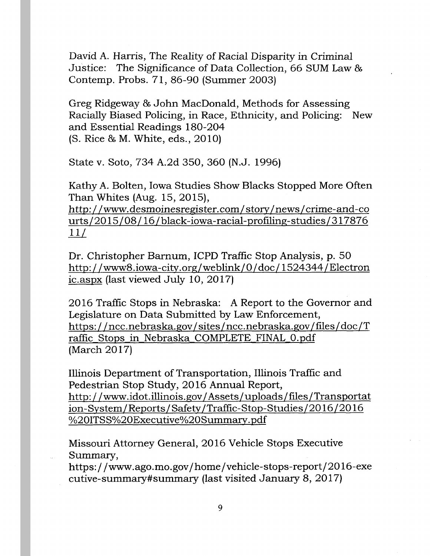David A. Harris, The Reality of Racial Disparity in Criminal Justice: The Significance of Data Collection, 66 SUM Law & Contemp. Probs. 71, 86-90 (Summer 2003)

Greg Ridgeway & John MacDonald, Methods for Assessing Racially Biased Policing, in Race, Ethnicity, and Policing: New and Essential Readings 180-204 (S. Rice & M. White, eds., 201 0)

State v. Soto, 734 A.2d 350, 360 (N.J. 1996)

Kathy A. Bolten, Iowa Studies Show Blacks Stopped More Often Than Whites (Aug. 15, 2015),

http: //www.desmoinesregister.com/ story/news/ crime-and-co urts/2015/08/16/black-iowa-racial-profiling-studies/317876  $11/$ 

Dr. Christopher Barnum, ICPD Traffic Stop Analysis, p. 50 http://www8.iowa-city.org/weblink/0/doc/1524344/Electron ic.aspx (last viewed July 10, 2017)

2016 Traffic Stops in Nebraska: A Report to the Governor and Legislature on Data Submitted by Law Enforcement, https://ncc.nebraska.gov/sites/ncc.nebraska.gov/files/doc/T raffic Stops in Nebraska COMPLETE FINAL O.pdf (March 2017)

Illinois Department of Transportation, Illinois Traffic and Pedestrian Stop Study, 2016 Annual Report, http://www.idot.illinois.gov/Assets/uploads/files/Transportat ion-System/Reports/Safety/Traffic-Stop-Studies/2016/2016 %20ITSS%20Executive%20Summary.pdf

Missouri Attorney General, 2016 Vehicle Stops Executive Summary,

https://www.ago.mo.gov/home/vehicle-stops-report/2016-exe cutive-summary#summary (last visited January 8, 20 17)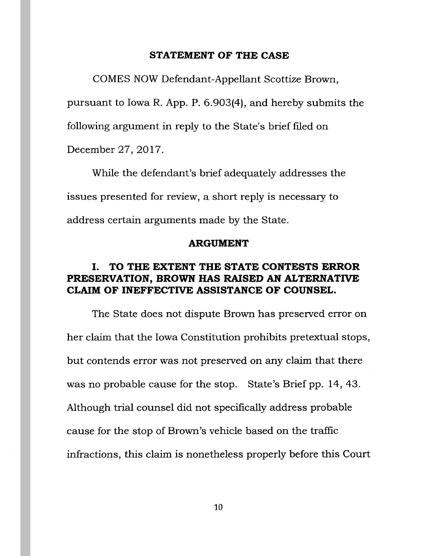#### **STATEMENT OF THE CASE**

COMES NOW Defendant-Appellant Scottize Brown, pursuant to Iowa R. App. P. 6.903(4), and hereby submits the following argument in reply to the State's brief filed on December 27, 2017.

While the defendant's brief adequately addresses the issues presented for review, a short reply is necessary to address certain arguments made by the State.

#### **ARGUMENT**

# I. **TO THE EXTENT THE STATE CONTESTS ERROR PRESERVATION, BROWN HAS RAISED AN ALTERNATIVE CLAIM OF INEFFECTIVE ASSISTANCE OF COUNSEL.**

The State does not dispute Brown has preserved error on her claim that the Iowa Constitution prohibits pretextual stops, but contends error was not preserved on any claim that there was no probable cause for the stop. State's Brief pp. 14, 43. Although trial counsel did not specifically address probable cause for the stop of Brown's vehicle based on the traffic infractions, this claim is nonetheless properly before this Court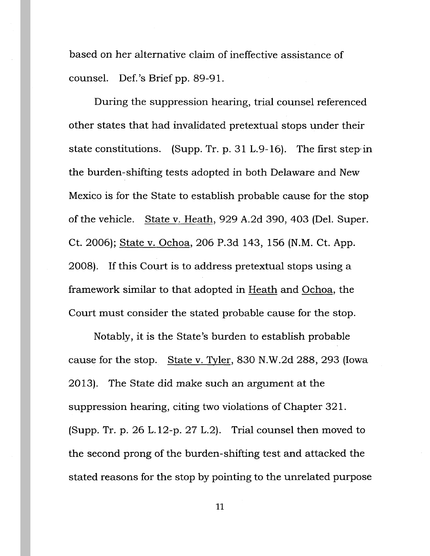based on her alternative claim of ineffective assistance of counsel. Def. 's Brief pp. 89-91.

During the suppression hearing, trial counsel referenced other states that had invalidated pretextual stops under their state constitutions. (Supp. Tr. p. 31 L.9-16). The first step·in the burden-shifting tests adopted in both Delaware and New Mexico is for the State to establish probable cause for the stop of the vehicle. State v. Heath, 929 A.2d 390, 403 (Del. Super. Ct. 2006); State v. Ochoa, 206 P.3d 143, 156 (N.M. Ct. App. 2008). If this Court is to address pretextual stops using a framework similar to that adopted in Heath and Ochoa, the Court must consider the stated probable cause for the stop.

Notably, it is the State's burden to establish probable cause for the stop. State v. Tyler, 830 N.W.2d 288, 293 (Iowa 20 13). The State did make such an argument at the suppression hearing, citing two violations of Chapter 321. (Supp. Tr. p. 26 L.12-p. 27 L.2). Trial counsel then moved to the second prong of the burden -shifting test and attacked the stated reasons for the stop by pointing to the unrelated purpose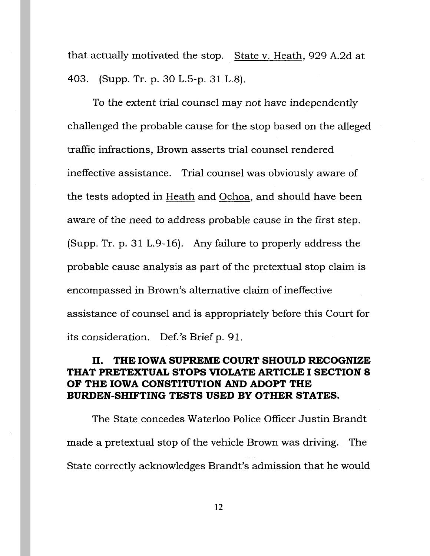that actually motivated the stop. State v. Heath, 929 A.2d at 403. (Supp. Tr. p. 30 L.S-p. 31 L.8).

To the extent trial counsel may not have independently challenged the probable cause for the stop based on the alleged traffic infractions, Brown asserts trial counsel rendered ineffective assistance. Trial counsel was obviously aware of the tests adopted in Heath and Ochoa, and should have been aware of the need to address probable cause in the first step. (Supp. Tr. p. 31 L.9-16). Any failure to properly address the probable cause analysis as part of the pretextual stop claim is encompassed in Brown's alternative claim of ineffective assistance of counsel and is appropriately before this Court for its consideration. Def. 's Brief p. 91.

## II. **THE IOWA SUPREME COURT SHOULD RECOGNIZE THAT PRETEXTUAL STOPS VIOLATE ARTICLE I SECTION 8 OF THE IOWA CONSTITUTION AND ADOPT THE BURDEN-SHIFTING TESTS USED BY OTHER STATES.**

The State concedes Waterloo Police Officer Justin Brandt made a pretextual stop of the vehicle Brown was driving. The State correctly acknowledges Brandt's admission that he would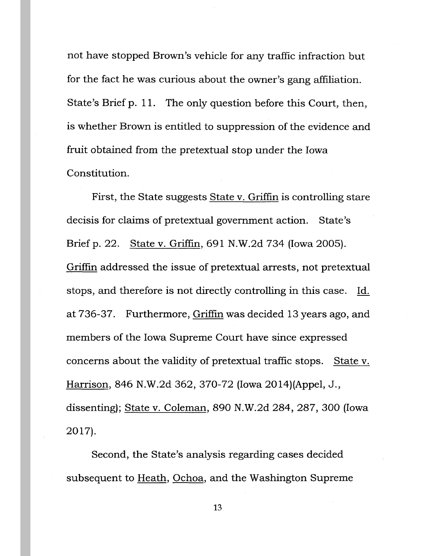not have stopped Brown's vehicle for any traffic infraction but for the fact he was curious about the owner's gang affiliation. State's Brief p. 11. The only question before this Court, then, is whether Brown is entitled to suppression of the evidence and fruit obtained from the pretextual stop under the Iowa Constitution.

First, the State suggests State v. Griffin is controlling stare decisis for claims of pretextual government action. State's Brief p. 22. State v. Griffin, 691 N.W.2d 734 (Iowa 2005). Griffin addressed the issue of pretextual arrests, not pretextual stops, and therefore is not directly controlling in this case. Id. at 736-37. Furthermore, Griffin was decided 13 years ago, and members of the Iowa Supreme Court have since expressed concerns about the validity of pretextual traffic stops. State v. Harrison, 846 N.W.2d 362, 370-72 (Iowa 2014)(Appel, J., dissenting); State v. Coleman, 890 N.W.2d 284, 287, 300 (Iowa 2017).

Second, the State's analysis regarding cases decided subsequent to Heath, Ochoa, and the Washington Supreme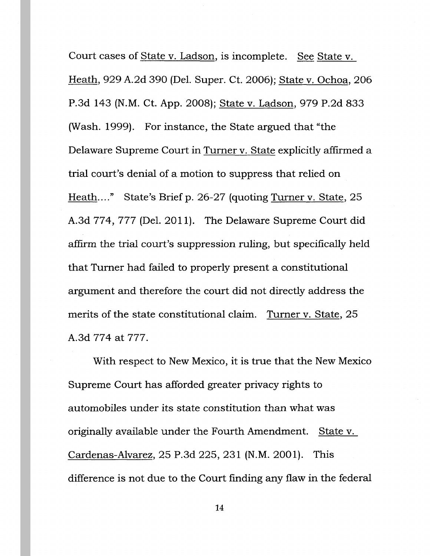Court cases of State v. Ladson, is incomplete. See State v. Heath, 929 A.2d 390 (Del. Super. Ct. 2006); State v. Ochoa, 206 P.3d 143 (N.M. Ct. App. 2008); State v. Ladson, 979 P.2d 833 (Wash. 1999). For instance, the State argued that "the Delaware Supreme Court in Turner v. State explicitly affirmed a trial court's denial of a motion to suppress that relied on Heath...." State's Brief p. 26-27 (quoting Turner v. State, 25 A.3d 774, 777 (Del. 2011). The Delaware Supreme Court did affirm the trial court's suppression ruling, but specifically held that Turner had failed to properly present a constitutional argument and therefore the court did not directly address the merits of the state constitutional claim. Turner v. State, 25 A.3d 774 at 777.

With respect to New Mexico, it is true that the New Mexico Supreme Court has afforded greater privacy rights to automobiles under its state constitution than what was originally available under the Fourth Amendment. State v. Cardenas-Alvarez, 25 P.3d 225, 231 (N.M. 2001). This difference is not due to the Court finding any flaw in the federal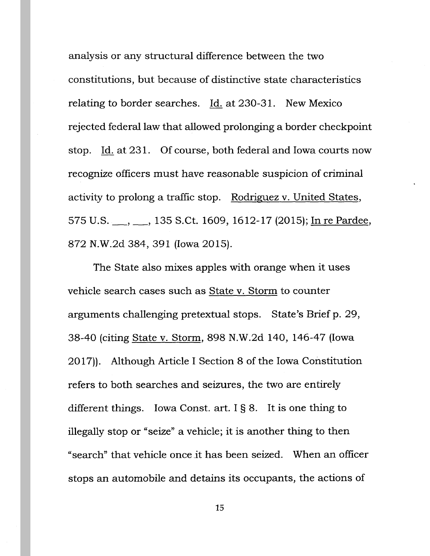analysis or any structural difference between the two constitutions, but because of distinctive state characteristics relating to border searches. Id. at 230-31. New Mexico rejected federal law that allowed prolonging a border checkpoint stop. Id. at 231. Of course, both federal and Iowa courts now recognize officers must have reasonable suspicion of criminal activity to prolong a traffic stop. Rodriguez v. United States, 575 U.S. <sub>\_\_\_</sub>, \_\_\_, 135 S.Ct. 1609, 1612-17 (2015); In re Pardee, 872 N.W.2d 384, 391 (Iowa 2015).

The State also mixes apples with orange when it uses vehicle search cases such as State v. Storm to counter arguments challenging pretextual stops. State's Brief p. 29, 38-40 (citing State v. Storm, 898 N.W.2d 140, 146-47 (Iowa 2017)). Although Article I Section 8 of the Iowa Constitution refers to both searches and seizures, the two are entirely different things. Iowa Const. art.  $I § 8$ . It is one thing to illegally stop or "seize" a vehicle; it is another thing to then "search" that vehicle once \_it has been seized. When an officer stops an automobile and detains its occupants, the actions of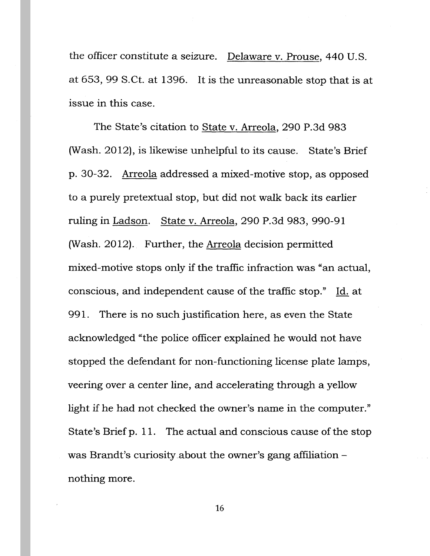the officer constitute a seizure. Delaware v. Prouse, 440 U.S. at 653, 99 S.Ct. at 1396. It is the unreasonable stop that is at issue in this case.

The State's citation to State v. Arreola, 290 P.3d 983 (Wash. 2012), is likewise unhelpful to its cause. State's Brief p. 30-32. Arreola addressed a mixed-motive stop, as opposed to a purely pretextual stop, but did not walk back its earlier ruling in Ladson. State v. Arreola, 290 P.3d 983, 990-91 (Wash. 2012). Further, the Arreola decision permitted mixed-motive stops only if the traffic infraction was "an actual, conscious, and independent cause of the traffic stop." Id. at 991. There is no such justification here, as even the State acknowledged "the police officer explained he would not have stopped the defendant for non-functioning license plate lamps, veering over a center line, and accelerating through a yellow light if he had not checked the owner's name in the computer." State's Brief p. 11. The actual and conscious cause of the stop was Brandt's curiosity about the owner's gang affiliationnothing more.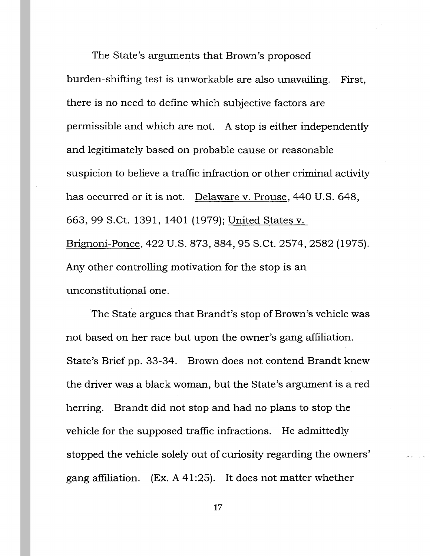The State's arguments that Brown's proposed burden-shifting test is unworkable are also unavailing. First, there is no need to define which subjective factors are permissible and which are not. A stop is either independently and legitimately based on probable cause or reasonable suspicion to believe a traffic infraction or other criminal activity has occurred or it is not. Delaware v. Prouse, 440 U.S. 648, 663, 99 S.Ct. 1391, 1401 (1979); United States v. Brignoni-Ponce, 422 U.S. 873, 884, 95 S.Ct. 2574, 2582 (1975). Any other controlling motivation for the stop is an unconstitutional one.

The State argues that Brandt's stop of Brown's vehicle was not based on her race but upon the owner's gang affiliation. State's Brief pp. 33-34. Brown does not contend Brandt knew the driver was a black woman, but the State's argument is a red herring. Brandt did not stop and had no plans to stop the vehicle for the supposed traffic infractions. He admittedly stopped the vehicle solely out of curiosity regarding the owners' gang affiliation. (Ex. A 41:25). It does not matter whether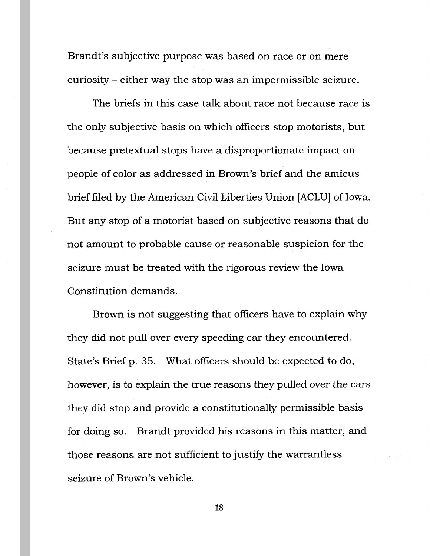Brandt's subjective purpose was based on race or on mere curiosity- either way the stop was an impermissible seizure.

The briefs in this case talk about race not because race is the only subjective basis on which officers stop motorists, but because pretextual stops have a disproportionate impact on people of color as addressed in Brown's brief and the amicus brief filed by the American Civil Liberties Union [ACLU] of Iowa. But any stop of a motorist based on subjective reasons that do not amount to probable cause or reasonable suspicion for the seizure must be treated with the rigorous review the Iowa Constitution demands.

Brown is not suggesting that officers have to explain why they did not pull over every speeding car they encountered. State's Brief p. 35. What officers should be expected to do, however, is to explain the true reasons they pulled over the cars they did stop and provide a constitutionally permissible basis for doing so. Brandt provided his reasons in this matter, and those reasons are not sufficient to justify the warrantless seizure of Brown's vehicle.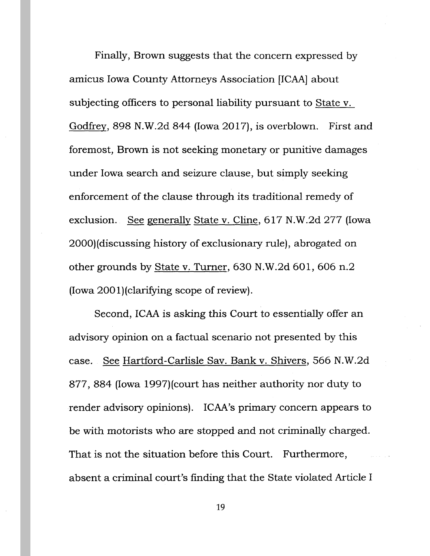Finally, Brown suggests that the concern expressed by amicus Iowa County Attorneys Association [ICAA] about subjecting officers to personal liability pursuant to State v. Godfrey, 898 N.W.2d 844 (Iowa 2017), is overblown. First and foremost, Brown is not seeking monetary or punitive damages under Iowa search and seizure clause, but simply seeking enforcement of the clause through its traditional remedy of exclusion. See generally State v. Cline, 617 N.W.2d 277 (Iowa 2000)(discussing history of exclusionary rule), abrogated on other grounds by State v. Turner, 630 N.W.2d 601, 606 n.2 (Iowa 2001)(clarifying scope of review).

Second, ICAA is asking this Court to essentially offer an advisory opinion on a factual scenario not presented by this case. See Hartford-Carlisle Sav. Bank v. Shivers, 566 N.W.2d 877, 884 (Iowa 1997)(court has neither authority nor duty to render advisory opinions). ICAA's primary concern appears to be with motorists who are stopped and not criminally charged. That is not the situation before this Court. Furthermore, absent a criminal court's finding that the State violated Article I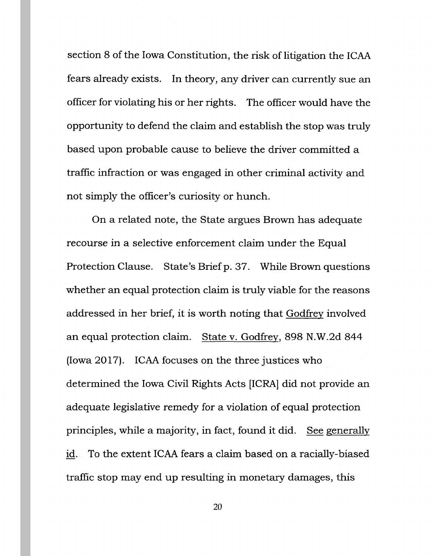section 8 of the Iowa Constitution, the risk of litigation the ICAA fears already exists. In theory, any driver can currently sue an officer for violating his or her rights. The officer would have the opportunity to defend the claim and establish the stop was truly based upon probable cause to believe the driver committed a traffic infraction or was engaged in other criminal activity and not simply the officer's curiosity or hunch.

On a related note, the State argues Brown has adequate recourse in a selective enforcement claim under the Equal Protection Clause. State's Brief p. 37. While Brown questions whether an equal protection claim is truly viable for the reasons addressed in her brief, it is worth noting that Godfrey involved an equal protection claim. State v. Godfrey, 898 N.W.2d 844 (Iowa 2017). ICAA focuses on the three justices who determined the Iowa Civil Rights Acts [ICRA] did not provide an adequate legislative remedy for a violation of equal protection principles, while a majority, in fact, found it did. See generally id. To the extent ICAA fears a claim based on a racially-biased traffic stop may end up resulting in monetary damages, this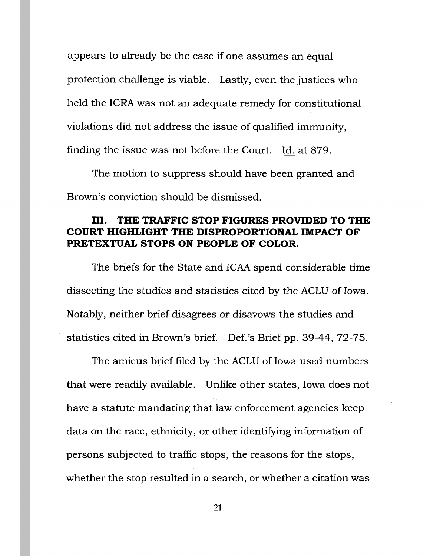appears to already be the case if one assumes an equal protection challenge is viable. Lastly, even the justices who held the ICRA was not an adequate remedy for constitutional violations did not address the issue of qualified immunity, finding the issue was not before the Court. Id. at 879.

The motion to suppress should have been granted and Brown's conviction should be dismissed.

## III. **THE TRAFFIC STOP FIGURES PROVIDED TO THE COURT HIGHLIGHT THE DISPROPORTIONAL IMPACT OF PRETEXTUAL STOPS ON PEOPLE OF COLOR.**

The briefs for the State and ICAA spend considerable time dissecting the studies and statistics cited by the ACLU of Iowa. Notably, neither brief disagrees or disavows the studies and statistics cited in Brown's brief. Def. 's Brief pp. 39-44, 72-75.

The amicus brief filed by the ACLU of Iowa used numbers that were readily available. Unlike other states, Iowa does not have a statute mandating that law enforcement agencies keep data on the race, ethnicity, or other identifying information of persons subjected to traffic stops, the reasons for the stops, whether the stop resulted in a search, or whether a citation was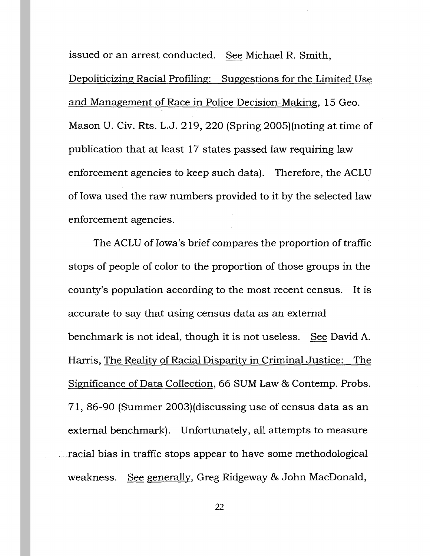issued or an arrest conducted. See Michael R. Smith, Depoliticizing Racial Profiling: Suggestions for the Limited Use and Management of Race in Police Decision-Making, 15 Geo. Mason U. Civ. Rts. L.J. 219, 220 (Spring 2005)(noting at time of publication that at least 17 states passed law requiring law enforcement agencies to keep such data). Therefore, the ACLU of Iowa used the raw numbers provided to it by the selected law enforcement agencies.

The ACLU of Iowa's brief compares the proportion of traffic stops of people of color to the proportion of those groups in the county's population according to the most recent census. It is accurate to say that using census data as an external benchmark is not ideal, though it is not useless. See David A. Harris, The Reality of Racial Disparity in Criminal Justice: The Significance of Data Collection, 66 SUM Law & Contemp. Probs. 71, 86-90 (Summer 2003)(discussing use of census data as an external benchmark). Unfortunately, all attempts to measure ..... racial bias in traffic stops appear to have some methodological weakness. See generally, Greg Ridgeway & John MacDonald,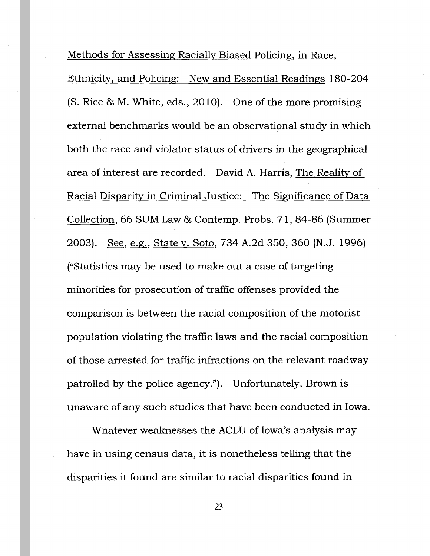Methods for Assessing Racially Biased Policing, in Race,

Ethnicity, and Policing: New and Essential Readings 180-204 (S. Rice & M. White, eds., 2010). One of the more promising external benchmarks would be an observational study in which both the race and violator status of drivers in the geographical area of interest are recorded. David A. Harris, The Reality of Racial Disparity in Criminal Justice: The Significance of Data Collection, 66 SUM Law & Contemp. Probs. 71, 84-86 (Summer 2003). See, e.g., State v. Soto, 734 A.2d 350, 360 (N.J. 1996) ("Statistics may be used to make out a case of targeting minorities for prosecution of traffic offenses provided the comparison is between the racial composition of the motorist population violating the traffic laws and the racial composition of those arrested for traffic infractions on the relevant roadway patrolled by the police agency."). Unfortunately, Brown is unaware of any such studies that have been conducted in Iowa.

Whatever weaknesses the ACLU of Iowa's analysis may have in using census data, it is nonetheless telling that the disparities it found are similar to racial disparities found in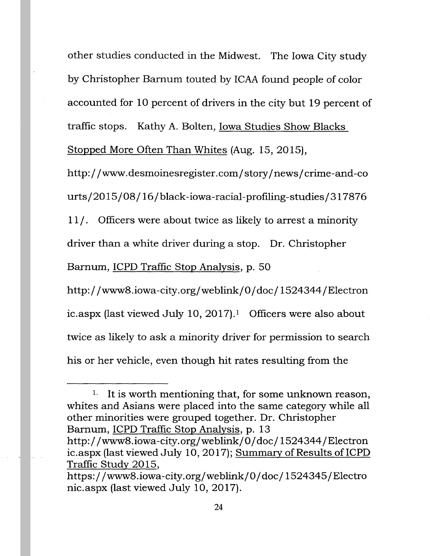other studies conducted in the Midwest. The Iowa City study by Christopher Barnum touted by ICAA found people of color accounted for 10 percent of drivers in the city but 19 percent of traffic stops. Kathy A. Bolten, Iowa Studies Show Blacks Stopped More Often Than Whites (Aug. 15, 2015),

http://www.desmoinesregister.com/story/news/crime-and-co urts/20 15/08/ 16/black-iowa-racial-profiling-studies/ 317876

11 /. Officers were about twice as likely to arrest a minority

driver than a white driver during a stop. Dr. Christopher

Barnum, ICPD Traffic Stop Analysis, p. 50

http://www8.iowa-city.org/weblink/0/doc/1524344/Electron ic.aspx (last viewed July 10, 2017).<sup>1</sup> Officers were also about twice as likely to ask a minority driver for permission to search his or her vehicle, even though hit rates resulting from the

<sup>&</sup>lt;sup>1.</sup> It is worth mentioning that, for some unknown reason, whites and Asians were placed into the same category while all other minorities were grouped together. Dr. Christopher Barnum, ICPD Traffic Stop Analysis, p. 13

http://www8.iowa-city.org/weblink/0/doc/1524344/Electron ic.aspx (last viewed July 10, 2017); Summary of Results of ICPD Traffic Study 2015,

https://www8.iowa-city.org/weblink/0/doc/1524345/Electro nic.aspx (last viewed July 10, 2017).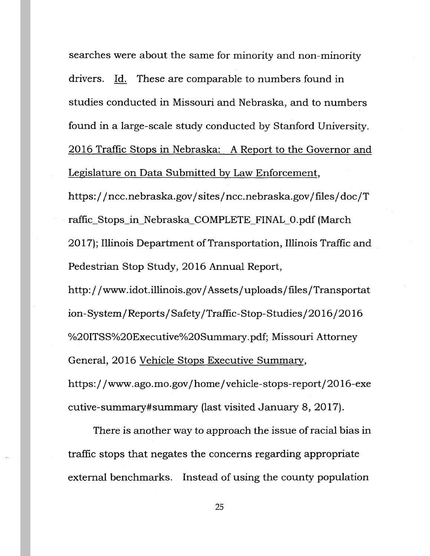searches were about the same for minority and non-minority drivers. Id. These are comparable to numbers found in studies conducted in Missouri and Nebraska, and to numbers found in a large-scale study conducted by Stanford University. 2016 Traffic Stops in Nebraska: A Report to the Governor and Legislature on Data Submitted by Law Enforcement,

https://ncc.nebraska.gov/sites/ncc.nebraska.gov/files/doc/T raffic\_Stops\_in\_Nebraska\_COMPLETE\_FINAL\_O.pdf (March 2017); Illinois Department of Transportation, Illinois Traffic and Pedestrian Stop Study, 2016 Annual Report,

http://www.idot.illinois.gov/Assets/uploads/files/Transportat ion-System/Reports/Safety/Traffic-Stop-Studies/2016/2016 %20ITSS%20Executive%20Summary.pdf; Missouri Attorney General, 20 16 Vehicle Stops Executive Summary, https://www.ago.mo.gov/home/vehicle-stops-report/2016-exe cutive-summary#summary (last visited January 8, 20 17).

There is another way to approach the issue of racial bias in traffic stops that negates the concerns regarding appropriate external benchmarks. Instead of using the county population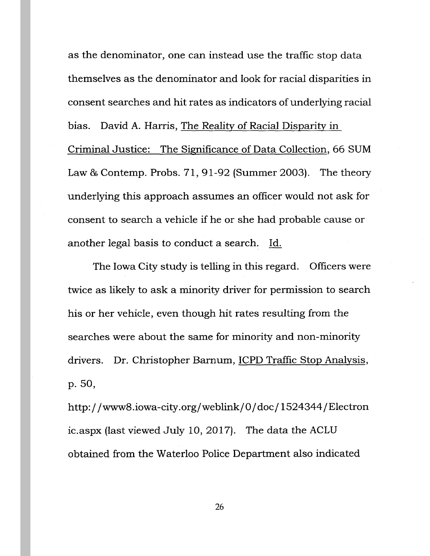as the denominator, one can instead use the traffic stop data themselves as the denominator and look for racial disparities in consent searches and hit rates as indicators of underlying racial bias. David A. Harris, The Reality of Racial Disparity in Criminal Justice: The Significance of Data Collection, 66 SUM Law & Contemp. Probs. 71, 91-92 (Summer 2003). The theory underlying this approach assumes an officer would not ask for consent to search a vehicle if he or she had probable cause or another legal basis to conduct a search. Id.

The Iowa City study is telling in this regard. Officers were twice as likely to ask a minority driver for permission to search his or her vehicle, even though hit rates resulting from the searches were about the same for minority and non-minority drivers. Dr. Christopher Barnum, ICPD Traffic Stop Analysis, p. 50,

http://www8.iowa-city.org/weblink/0/doc/1524344/Electron ic.aspx (last viewed July 10, 2017). The data the ACLU obtained from the Waterloo Police Department also indicated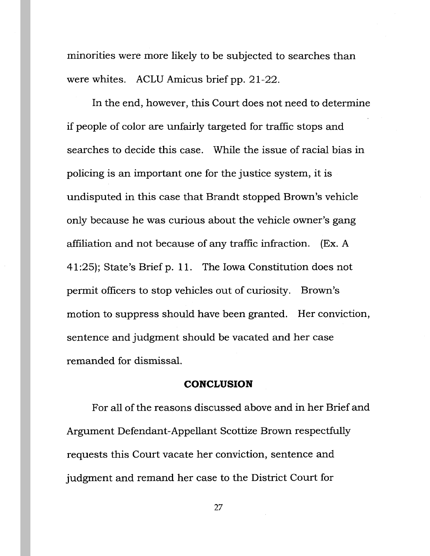minorities were more likely to be subjected to searches than were whites. ACLU Amicus brief pp. 21-22.

In the end, however, this Court does not need to determine if people of color are unfairly targeted for traffic stops and searches to decide this case. While the issue of racial bias in policing is an important one for the justice system, it is undisputed in this case that Brandt stopped Brown's vehicle only because he was curious about the vehicle owner's gang affiliation and not because of any traffic infraction. (Ex. A 41 :25); State's Brief p. 11. The Iowa Constitution does not permit officers to stop vehicles out of curiosity. Brown's motion to suppress should have been granted. Her conviction, sentence and judgment should be vacated and her case remanded for dismissal.

#### **CONCLUSION**

For all of the reasons discussed above and in her Brief and Argument Defendant-Appellant Scottize Brown respectfully requests this Court vacate her conviction, sentence and judgment and remand her case to the District Court for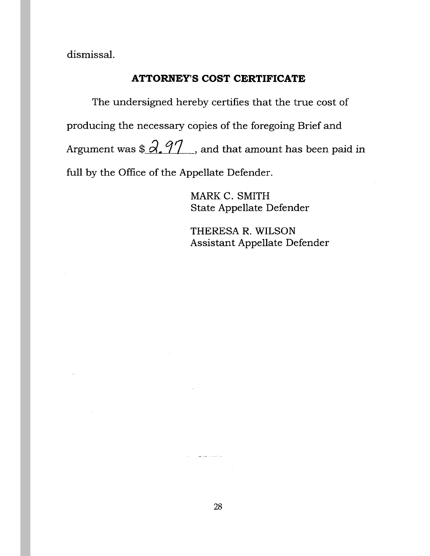dismissal.

# **ATTORNEY'S COST CERTIFICATE**

The undersigned hereby certifies that the true cost of producing the necessary copies of the foregoing Brief and Argument was  $\frac{2.97}{1}$ , and that amount has been paid in full by the Office of the Appellate Defender.

> MARK C. SMITH State Appellate Defender

THERESA R. WILSON Assistant Appellate Defender

.<br>Geografia eta erregea